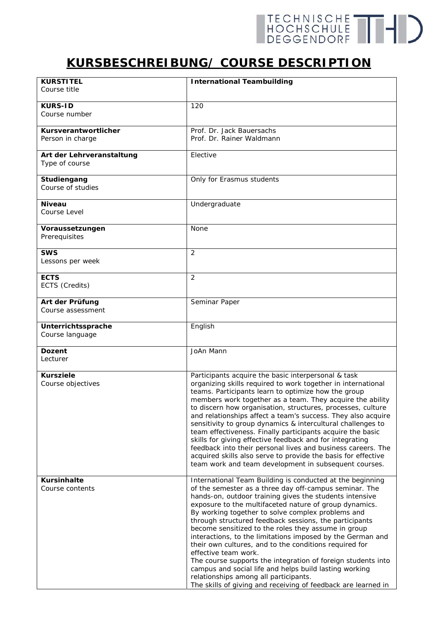## **KURSBESCHREIBUNG/ COURSE DESCRIPTION**

| <b>KURSTITEL</b>                            | <b>International Teambuilding</b>                                                                                           |
|---------------------------------------------|-----------------------------------------------------------------------------------------------------------------------------|
| <i>Course title</i>                         |                                                                                                                             |
|                                             |                                                                                                                             |
| <b>KURS-ID</b>                              | 120                                                                                                                         |
| Course number                               |                                                                                                                             |
| Kursverantwortlicher                        | Prof. Dr. Jack Bauersachs                                                                                                   |
| Person in charge                            | Prof. Dr. Rainer Waldmann                                                                                                   |
|                                             |                                                                                                                             |
| Art der Lehrveranstaltung<br>Type of course | Elective                                                                                                                    |
|                                             |                                                                                                                             |
| Studiengang                                 | Only for Erasmus students                                                                                                   |
| Course of studies                           |                                                                                                                             |
|                                             |                                                                                                                             |
| <b>Niveau</b><br>Course Level               | Undergraduate                                                                                                               |
|                                             |                                                                                                                             |
| Voraussetzungen                             | None                                                                                                                        |
| Prerequisites                               |                                                                                                                             |
| <b>SWS</b>                                  | $\overline{2}$                                                                                                              |
| Lessons per week                            |                                                                                                                             |
|                                             |                                                                                                                             |
| <b>ECTS</b>                                 | $\overline{2}$                                                                                                              |
| ECTS (Credits)                              |                                                                                                                             |
| Art der Prüfung                             | Seminar Paper                                                                                                               |
| Course assessment                           |                                                                                                                             |
|                                             |                                                                                                                             |
| Unterrichtssprache                          | English                                                                                                                     |
| Course language                             |                                                                                                                             |
| <b>Dozent</b>                               | JoAn Mann                                                                                                                   |
| Lecturer                                    |                                                                                                                             |
| <b>Kursziele</b>                            |                                                                                                                             |
| Course objectives                           | Participants acquire the basic interpersonal & task<br>organizing skills required to work together in international         |
|                                             | teams. Participants learn to optimize how the group                                                                         |
|                                             | members work together as a team. They acquire the ability                                                                   |
|                                             | to discern how organisation, structures, processes, culture                                                                 |
|                                             | and relationships affect a team's success. They also acquire<br>sensitivity to group dynamics & intercultural challenges to |
|                                             | team effectiveness. Finally participants acquire the basic                                                                  |
|                                             | skills for giving effective feedback and for integrating                                                                    |
|                                             | feedback into their personal lives and business careers. The                                                                |
|                                             | acquired skills also serve to provide the basis for effective                                                               |
|                                             | team work and team development in subsequent courses.                                                                       |
| <b>Kursinhalte</b>                          | International Team Building is conducted at the beginning                                                                   |
| Course contents                             | of the semester as a three day off-campus seminar. The                                                                      |
|                                             | hands-on, outdoor training gives the students intensive                                                                     |
|                                             | exposure to the multifaceted nature of group dynamics.<br>By working together to solve complex problems and                 |
|                                             | through structured feedback sessions, the participants                                                                      |
|                                             | become sensitized to the roles they assume in group                                                                         |
|                                             | interactions, to the limitations imposed by the German and                                                                  |
|                                             | their own cultures, and to the conditions required for                                                                      |
|                                             | effective team work.<br>The course supports the integration of foreign students into                                        |
|                                             | campus and social life and helps build lasting working                                                                      |
|                                             | relationships among all participants.                                                                                       |
|                                             | The skills of giving and receiving of feedback are learned in                                                               |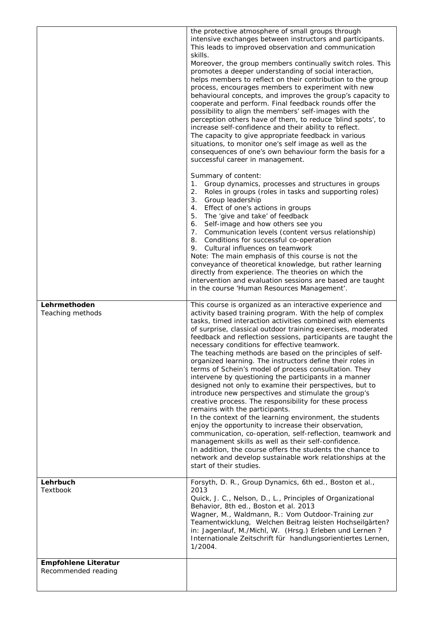|                                                    | the protective atmosphere of small groups through<br>intensive exchanges between instructors and participants.<br>This leads to improved observation and communication<br>skills.<br>Moreover, the group members continually switch roles. This<br>promotes a deeper understanding of social interaction,<br>helps members to reflect on their contribution to the group<br>process, encourages members to experiment with new<br>behavioural concepts, and improves the group's capacity to<br>cooperate and perform. Final feedback rounds offer the<br>possibility to align the members' self-images with the<br>perception others have of them, to reduce 'blind spots', to<br>increase self-confidence and their ability to reflect.<br>The capacity to give appropriate feedback in various<br>situations, to monitor one's self image as well as the<br>consequences of one's own behaviour form the basis for a<br>successful career in management.<br>Summary of content:<br>Group dynamics, processes and structures in groups<br>1.<br>2.<br>Roles in groups (roles in tasks and supporting roles)<br>3.<br>Group leadership                                                                                        |
|----------------------------------------------------|--------------------------------------------------------------------------------------------------------------------------------------------------------------------------------------------------------------------------------------------------------------------------------------------------------------------------------------------------------------------------------------------------------------------------------------------------------------------------------------------------------------------------------------------------------------------------------------------------------------------------------------------------------------------------------------------------------------------------------------------------------------------------------------------------------------------------------------------------------------------------------------------------------------------------------------------------------------------------------------------------------------------------------------------------------------------------------------------------------------------------------------------------------------------------------------------------------------------------------|
|                                                    | 4. Effect of one's actions in groups<br>5. The 'give and take' of feedback<br>6. Self-image and how others see you<br>7. Communication levels (content versus relationship)<br>8. Conditions for successful co-operation<br>9. Cultural influences on teamwork<br>Note: The main emphasis of this course is not the<br>conveyance of theoretical knowledge, but rather learning<br>directly from experience. The theories on which the<br>intervention and evaluation sessions are based are taught<br>in the course 'Human Resources Management'.                                                                                                                                                                                                                                                                                                                                                                                                                                                                                                                                                                                                                                                                             |
| Lehrmethoden<br>Teaching methods                   | This course is organized as an interactive experience and<br>activity based training program. With the help of complex<br>tasks, timed interaction activities combined with elements<br>of surprise, classical outdoor training exercises, moderated<br>feedback and reflection sessions, participants are taught the<br>necessary conditions for effective teamwork.<br>The teaching methods are based on the principles of self-<br>organized learning. The instructors define their roles in<br>terms of Schein's model of process consultation. They<br>intervene by questioning the participants in a manner<br>designed not only to examine their perspectives, but to<br>introduce new perspectives and stimulate the group's<br>creative process. The responsibility for these process<br>remains with the participants.<br>In the context of the learning environment, the students<br>enjoy the opportunity to increase their observation,<br>communication, co-operation, self-reflection, teamwork and<br>management skills as well as their self-confidence.<br>In addition, the course offers the students the chance to<br>network and develop sustainable work relationships at the<br>start of their studies. |
| Lehrbuch<br><b>Textbook</b>                        | Forsyth, D. R., Group Dynamics, 6th ed., Boston et al.,<br>2013<br>Quick, J. C., Nelson, D., L., Principles of Organizational<br>Behavior, 8th ed., Boston et al. 2013<br>Wagner, M., Waldmann, R.: Vom Outdoor-Training zur<br>Teamentwicklung, Welchen Beitrag leisten Hochseilgärten?<br>in: Jagenlauf, M./Michl, W. (Hrsg.) Erleben und Lernen?<br>Internationale Zeitschrift für handlungsorientiertes Lernen,<br>1/2004.                                                                                                                                                                                                                                                                                                                                                                                                                                                                                                                                                                                                                                                                                                                                                                                                 |
| <b>Empfohlene Literatur</b><br>Recommended reading |                                                                                                                                                                                                                                                                                                                                                                                                                                                                                                                                                                                                                                                                                                                                                                                                                                                                                                                                                                                                                                                                                                                                                                                                                                |